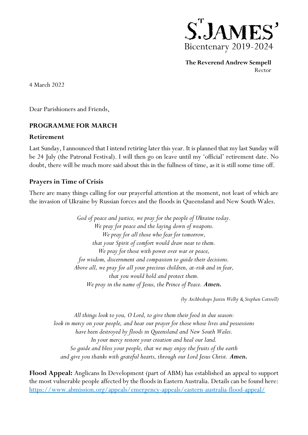

**The Reverend Andrew Sempell** Rector

4 March 2022

Dear Parishioners and Friends,

### **PROGRAMME FOR MARCH**

#### **Retirement**

Last Sunday, I announced that I intend retiring later this year. It is planned that my last Sunday will be 24 July (the Patronal Festival). I will then go on leave until my 'official' retirement date. No doubt, there will be much more said about this in the fullness of time, as it is still some time off.

#### **Prayers in Time of Crisis**

There are many things calling for our prayerful attention at the moment, not least of which are the invasion of Ukraine by Russian forces and the floods in Queensland and New South Wales.

> *God of peace and justice, we pray for the people of Ukraine today. We pray for peace and the laying down of weapons. We pray for all those who fear for tomorrow, that your Spirit of comfort would draw near to them. We pray for those with power over war or peace, for wisdom, discernment and compassion to guide their decisions. Above all, we pray for all your precious children, at-risk and in fear, that you would hold and protect them. We pray in the name of Jesus, the Prince of Peace. Amen.*

> > *(by Archbishops Justin Welby & Stephen Cottrell)*

*All things look to you, O Lord, to give them their food in due season: look in mercy on your people, and hear our prayer for those whose lives and possessions have been destroyed by floods in Queensland and New South Wales. In your mercy restore your creation and heal our land. So guide and bless your people, that we may enjoy the fruits of the earth and give you thanks with grateful hearts, through our Lord Jesus Christ. Amen.*

**Flood Appeal:** Anglicans In Development (part of ABM) has established an appeal to support the most vulnerable people affected by the floods in Eastern Australia. Details can be found here: <https://www.abmission.org/appeals/emergency-appeals/eastern-australia-flood-appeal/>